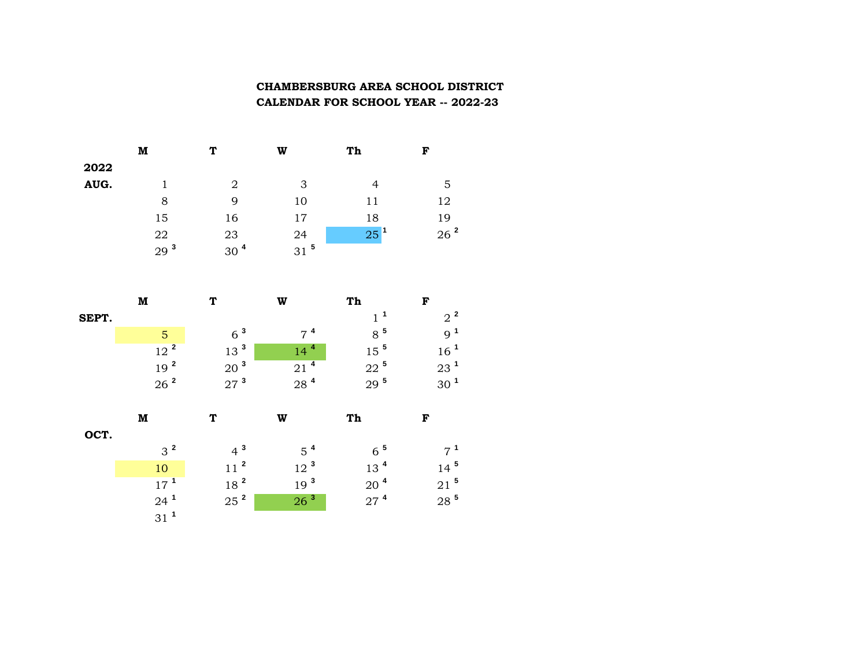## **CHAMBERSBURG AREA SCHOOL DISTRICT CALENDAR FOR SCHOOL YEAR -- 2022-23**

|      | м               | т               | W               | Th              | F               |
|------|-----------------|-----------------|-----------------|-----------------|-----------------|
| 2022 |                 |                 |                 |                 |                 |
| AUG. |                 | 2               | 3               | 4               | 5               |
|      | 8               | 9               | 10              | 11              | 12              |
|      | 15              | 16              | 17              | 18              | 19              |
|      | 22              | 23              | 24              | 25 <sup>1</sup> | 26 <sup>2</sup> |
|      | 29 <sup>3</sup> | 30 <sup>4</sup> | 31 <sup>5</sup> |                 |                 |

|       | M               | T               | W               | Th              | F               |
|-------|-----------------|-----------------|-----------------|-----------------|-----------------|
| SEPT. |                 |                 |                 | 1 <sup>1</sup>  | $2^2$           |
|       | 5               | 6 <sup>3</sup>  | $7^4$           | 8 <sup>5</sup>  | 9 <sup>1</sup>  |
|       | 12 <sup>2</sup> | 13 <sup>3</sup> | 4<br>14         | $15^5$          | 16 <sup>1</sup> |
|       | 19 <sup>2</sup> | 20 <sup>3</sup> | 21 <sup>4</sup> | $22^5$          | $23^1$          |
|       | 26 <sup>2</sup> | 27 <sup>3</sup> | 28 <sup>4</sup> | 29 <sup>5</sup> | 30 <sup>1</sup> |
|       | M               | T               | W               | Th              | F               |
| OCT.  |                 |                 |                 |                 |                 |

| $\mathcal{R}^2$ | $4^3$           | $5^4$           | $6^{\circ}$     | $7^1$              |
|-----------------|-----------------|-----------------|-----------------|--------------------|
| 10              | 11 <sup>2</sup> | 10 <sup>3</sup> | 13 <sup>4</sup> | $14^5$             |
| $17^1$          | 18 <sup>2</sup> | 19 <sup>3</sup> | 20 <sup>4</sup> | $21^{\frac{5}{2}}$ |
| $24^{\degree}$  | 25 <sup>2</sup> | $26^{3}$        | $27^4$          | $28^{\,5}$         |
| 31 <sup>2</sup> |                 |                 |                 |                    |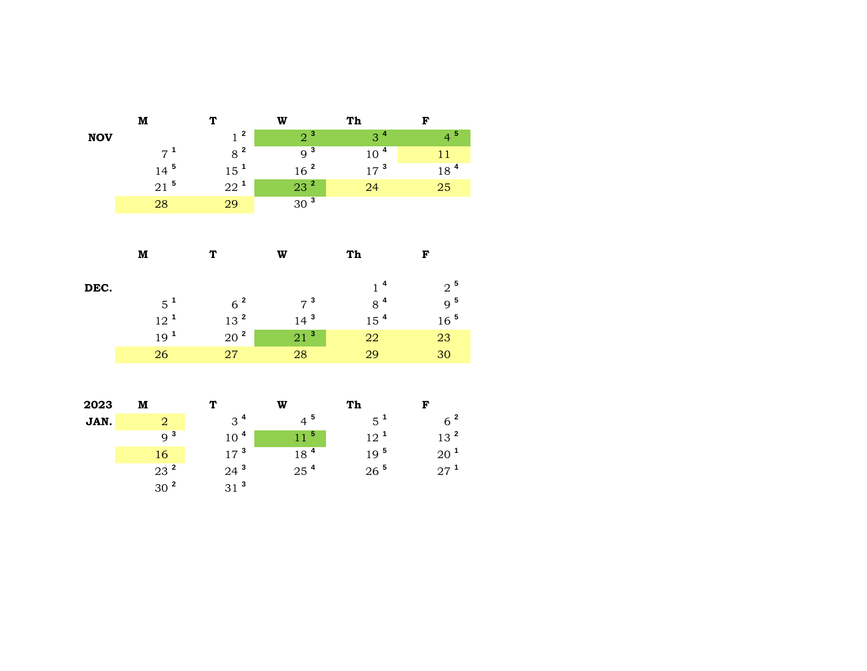|            | M               | T                                       | W                  | Th              | F                  |
|------------|-----------------|-----------------------------------------|--------------------|-----------------|--------------------|
| <b>NOV</b> |                 | $\overline{\mathbf{2}}$<br>$\mathbf{1}$ | 2 <sup>3</sup>     | 3 <sup>4</sup>  | 4 <sup>5</sup>     |
|            | $7^1$           | 8 <sup>2</sup>                          | $9^{\overline{3}}$ | 10 <sup>4</sup> | 11                 |
|            | $14^5$          | 15 <sup>1</sup>                         | 16 <sup>2</sup>    | 17 <sup>3</sup> | 18 <sup>4</sup>    |
|            | $21$ $^{\rm 5}$ | $22^1$                                  | $23^2$             | 24              | 25                 |
|            | 28              | 29                                      | 30 <sup>3</sup>    |                 |                    |
|            |                 |                                         |                    |                 |                    |
|            |                 |                                         |                    |                 |                    |
|            | M               | T                                       | W                  | Th              | $\mathbf F$        |
|            |                 |                                         |                    |                 |                    |
| DEC.       |                 |                                         |                    | 1 <sup>4</sup>  | $\rm 2$ $^{\rm 5}$ |
|            | $5^1$           | $6^2$                                   | 7 <sup>3</sup>     | $8^4$           | 9 <sup>5</sup>     |
|            | 12 <sup>1</sup> | $13$ $^{\rm 2}$                         | 14 <sup>3</sup>    | 15 <sup>4</sup> | $16\ ^{\,5}$       |
|            | 19 <sup>1</sup> | $20\ ^2$                                | 21 <sup>3</sup>    | 22              | 23                 |
|            | 26              | $\sqrt{27}$                             | 28                 | 29              | 30                 |
|            |                 |                                         |                    |                 |                    |
|            |                 |                                         |                    |                 |                    |
| 2023       | M               | T                                       | W                  | Th              | $\mathbf F$        |
| JAN.       | $\overline{2}$  | 3 <sup>4</sup>                          | $4^5$              | $5^1$           | $6\ ^2$            |
|            | 9 <sup>3</sup>  | 10 <sup>4</sup>                         | 11 <sup>5</sup>    | 12 <sup>1</sup> | 13 <sup>2</sup>    |
|            | 16              | $17\ ^3$                                | 18 <sup>4</sup>    | 19 <sup>5</sup> | $20$ $^{\rm 1}$    |
|            | 23 <sup>2</sup> | $24$ $^{\rm 3}$                         | $25$ <sup>4</sup>  | $26~^{\rm 5}$   | $27^1$             |
|            | 30 <sup>2</sup> | $31$ $^3$                               |                    |                 |                    |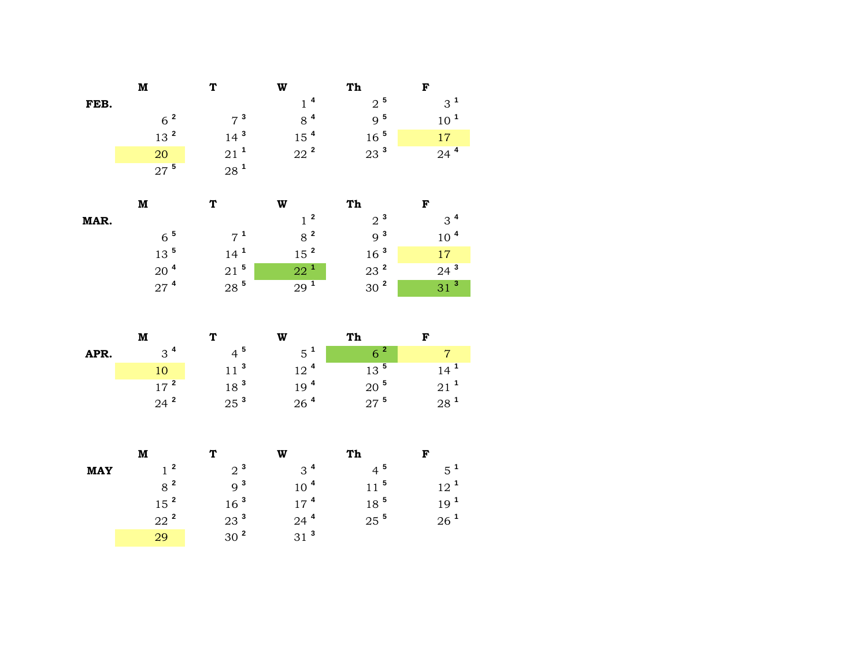|      | M               |                    | W              | Th              | F               |
|------|-----------------|--------------------|----------------|-----------------|-----------------|
| FEB. |                 |                    | 1 <sup>4</sup> | $2^5$           | $3^1$           |
|      | 6 <sup>2</sup>  | 7 <sup>3</sup>     | 8 <sup>4</sup> | 9 <sup>5</sup>  | 10 <sup>1</sup> |
|      | 13 <sup>2</sup> | $14^{3}$           | $15^4$         | 16 <sup>5</sup> | 17              |
|      | 20              | $21^1$             | $22^2$         | 23 <sup>3</sup> | $24^4$          |
|      | $27^5$          | $28^{\frac{1}{2}}$ |                |                 |                 |
|      |                 |                    |                |                 |                 |

|      | M                  |            | w               | Th              |                 |
|------|--------------------|------------|-----------------|-----------------|-----------------|
| MAR. |                    |            | 1 <sup>2</sup>  | 2 <sup>3</sup>  | $3^4$           |
|      | $6^{5}$            | $7^1$      | 8 <sup>2</sup>  | 9 <sup>3</sup>  | 10 <sup>4</sup> |
|      | $13^{\text{5}}$    | $14^{1}$   | 15 <sup>2</sup> | 16 <sup>3</sup> | 17              |
|      | 20 <sup>4</sup>    | $21^5$     | $22^1$          | 23 <sup>2</sup> | $24^3$          |
|      | $27^{\frac{4}{5}}$ | $28^{\,5}$ | 29 <sup>1</sup> | 30 <sup>2</sup> | 31 <sup>3</sup> |

|      | M        |                 | W               | Th                 |                 |
|------|----------|-----------------|-----------------|--------------------|-----------------|
| APR. | $3^4$    | $4^{5}$         | $5^{\text{1}}$  | 6 <sup>2</sup>     |                 |
|      |          | $11^{3}$        | 12 <sup>4</sup> | $13^5$             | 14 <sup>1</sup> |
|      | $17^{2}$ | 18 <sup>3</sup> | 19 <sup>4</sup> | $20^{\frac{5}{2}}$ | 21 <sup>1</sup> |
|      | $24^2$   | 25 <sup>3</sup> | 26 <sup>4</sup> | $27^{\frac{5}{2}}$ | $28^{\degree}$  |

|            | м               | ጥ               | W               | Th                 | F               |
|------------|-----------------|-----------------|-----------------|--------------------|-----------------|
| <b>MAY</b> | 1 <sup>2</sup>  | $2^{3}$         | $3^4$           | $4^{\frac{5}{2}}$  | $5^1$           |
|            | $8^2$           | Q <sup>3</sup>  | 10 <sup>4</sup> | $11^{5}$           | $12^{1}$        |
|            | 15 <sup>2</sup> | 16 <sup>3</sup> | $17^{4}$        | 18 <sup>5</sup>    | 19 <sup>1</sup> |
|            | $22^2$          | $23^3$          | $24^4$          | $25^{\frac{5}{2}}$ | 26 <sup>1</sup> |
|            | 29              | 30 <sup>2</sup> | $31^3$          |                    |                 |